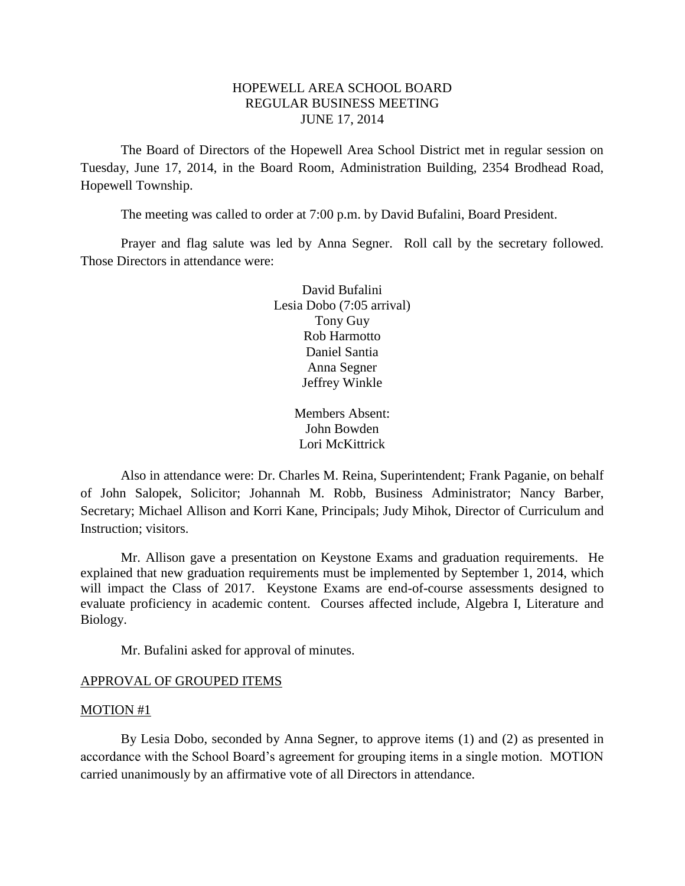# HOPEWELL AREA SCHOOL BOARD REGULAR BUSINESS MEETING JUNE 17, 2014

The Board of Directors of the Hopewell Area School District met in regular session on Tuesday, June 17, 2014, in the Board Room, Administration Building, 2354 Brodhead Road, Hopewell Township.

The meeting was called to order at 7:00 p.m. by David Bufalini, Board President.

Prayer and flag salute was led by Anna Segner. Roll call by the secretary followed. Those Directors in attendance were:

> David Bufalini Lesia Dobo (7:05 arrival) Tony Guy Rob Harmotto Daniel Santia Anna Segner Jeffrey Winkle

> > Members Absent: John Bowden Lori McKittrick

Also in attendance were: Dr. Charles M. Reina, Superintendent; Frank Paganie, on behalf of John Salopek, Solicitor; Johannah M. Robb, Business Administrator; Nancy Barber, Secretary; Michael Allison and Korri Kane, Principals; Judy Mihok, Director of Curriculum and Instruction; visitors.

Mr. Allison gave a presentation on Keystone Exams and graduation requirements. He explained that new graduation requirements must be implemented by September 1, 2014, which will impact the Class of 2017. Keystone Exams are end-of-course assessments designed to evaluate proficiency in academic content. Courses affected include, Algebra I, Literature and Biology.

Mr. Bufalini asked for approval of minutes.

#### APPROVAL OF GROUPED ITEMS

#### MOTION #1

By Lesia Dobo, seconded by Anna Segner, to approve items (1) and (2) as presented in accordance with the School Board's agreement for grouping items in a single motion. MOTION carried unanimously by an affirmative vote of all Directors in attendance.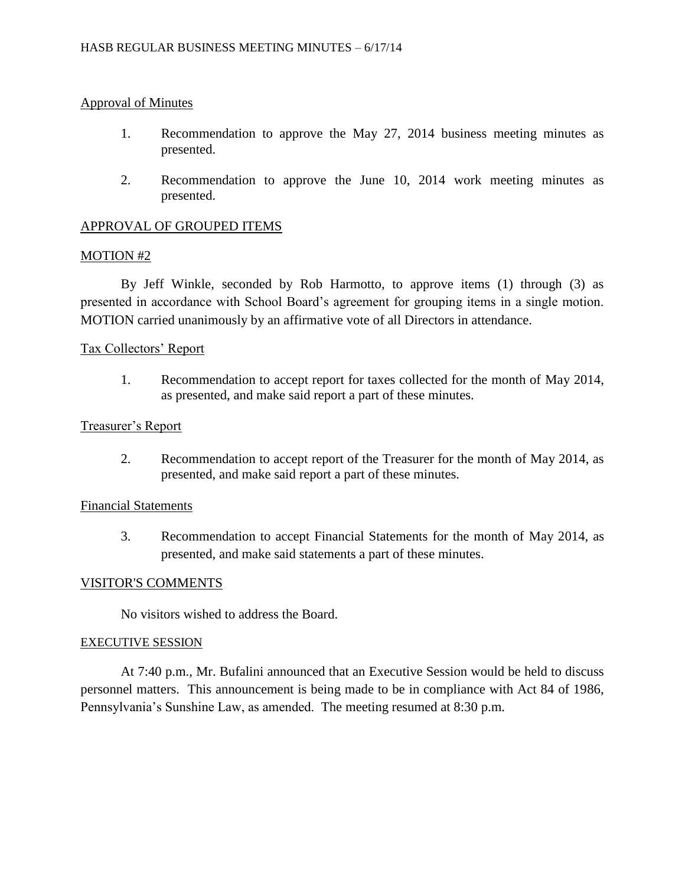# Approval of Minutes

- 1. Recommendation to approve the May 27, 2014 business meeting minutes as presented.
- 2. Recommendation to approve the June 10, 2014 work meeting minutes as presented.

# APPROVAL OF GROUPED ITEMS

## MOTION #2

By Jeff Winkle, seconded by Rob Harmotto, to approve items (1) through (3) as presented in accordance with School Board's agreement for grouping items in a single motion. MOTION carried unanimously by an affirmative vote of all Directors in attendance.

# Tax Collectors' Report

1. Recommendation to accept report for taxes collected for the month of May 2014, as presented, and make said report a part of these minutes.

# Treasurer's Report

2. Recommendation to accept report of the Treasurer for the month of May 2014, as presented, and make said report a part of these minutes.

# Financial Statements

3. Recommendation to accept Financial Statements for the month of May 2014, as presented, and make said statements a part of these minutes.

## VISITOR'S COMMENTS

No visitors wished to address the Board.

## EXECUTIVE SESSION

At 7:40 p.m., Mr. Bufalini announced that an Executive Session would be held to discuss personnel matters. This announcement is being made to be in compliance with Act 84 of 1986, Pennsylvania's Sunshine Law, as amended. The meeting resumed at 8:30 p.m.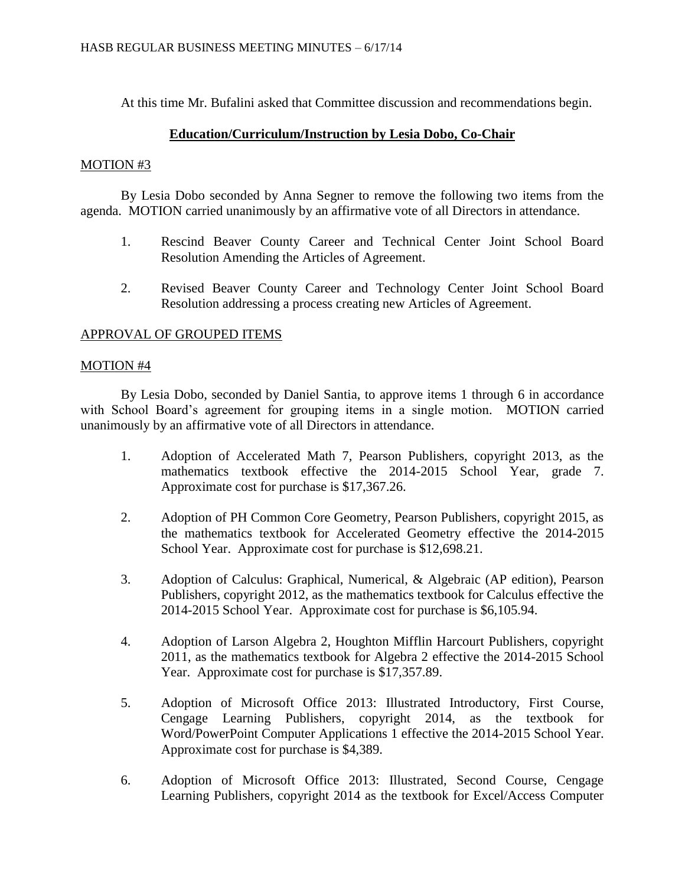At this time Mr. Bufalini asked that Committee discussion and recommendations begin.

# **Education/Curriculum/Instruction by Lesia Dobo, Co-Chair**

# MOTION #3

By Lesia Dobo seconded by Anna Segner to remove the following two items from the agenda. MOTION carried unanimously by an affirmative vote of all Directors in attendance.

- 1. Rescind Beaver County Career and Technical Center Joint School Board Resolution Amending the Articles of Agreement.
- 2. Revised Beaver County Career and Technology Center Joint School Board Resolution addressing a process creating new Articles of Agreement.

# APPROVAL OF GROUPED ITEMS

## MOTION #4

By Lesia Dobo, seconded by Daniel Santia, to approve items 1 through 6 in accordance with School Board's agreement for grouping items in a single motion. MOTION carried unanimously by an affirmative vote of all Directors in attendance.

- 1. Adoption of Accelerated Math 7, Pearson Publishers, copyright 2013, as the mathematics textbook effective the 2014-2015 School Year, grade 7. Approximate cost for purchase is \$17,367.26.
- 2. Adoption of PH Common Core Geometry, Pearson Publishers, copyright 2015, as the mathematics textbook for Accelerated Geometry effective the 2014-2015 School Year. Approximate cost for purchase is \$12,698.21.
- 3. Adoption of Calculus: Graphical, Numerical, & Algebraic (AP edition), Pearson Publishers, copyright 2012, as the mathematics textbook for Calculus effective the 2014-2015 School Year. Approximate cost for purchase is \$6,105.94.
- 4. Adoption of Larson Algebra 2, Houghton Mifflin Harcourt Publishers, copyright 2011, as the mathematics textbook for Algebra 2 effective the 2014-2015 School Year. Approximate cost for purchase is \$17,357.89.
- 5. Adoption of Microsoft Office 2013: Illustrated Introductory, First Course, Cengage Learning Publishers, copyright 2014, as the textbook for Word/PowerPoint Computer Applications 1 effective the 2014-2015 School Year. Approximate cost for purchase is \$4,389.
- 6. Adoption of Microsoft Office 2013: Illustrated, Second Course, Cengage Learning Publishers, copyright 2014 as the textbook for Excel/Access Computer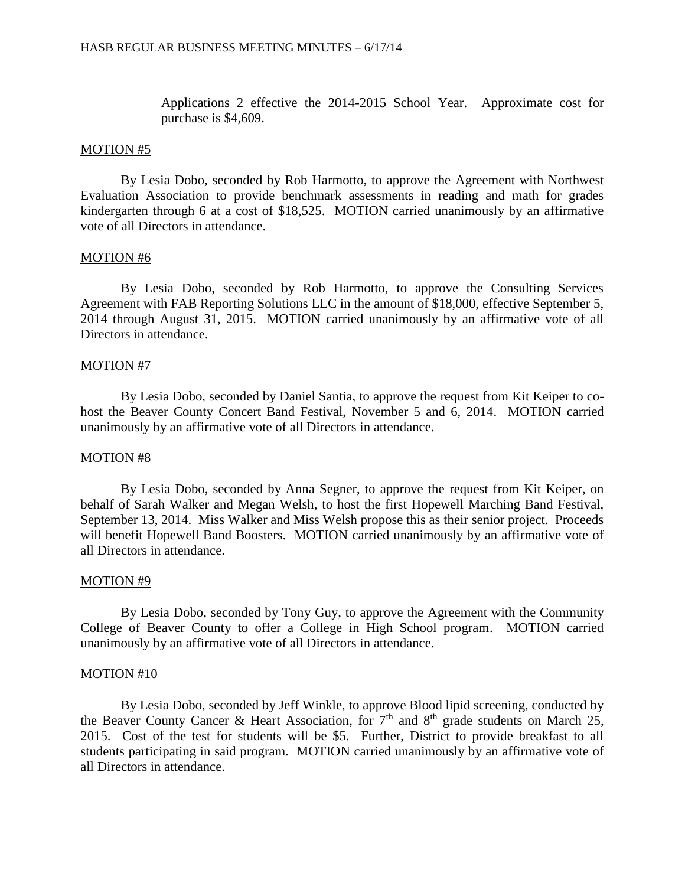Applications 2 effective the 2014-2015 School Year. Approximate cost for purchase is \$4,609.

#### MOTION #5

By Lesia Dobo, seconded by Rob Harmotto, to approve the Agreement with Northwest Evaluation Association to provide benchmark assessments in reading and math for grades kindergarten through 6 at a cost of \$18,525. MOTION carried unanimously by an affirmative vote of all Directors in attendance.

## MOTION #6

By Lesia Dobo, seconded by Rob Harmotto, to approve the Consulting Services Agreement with FAB Reporting Solutions LLC in the amount of \$18,000, effective September 5, 2014 through August 31, 2015. MOTION carried unanimously by an affirmative vote of all Directors in attendance.

#### MOTION #7

By Lesia Dobo, seconded by Daniel Santia, to approve the request from Kit Keiper to cohost the Beaver County Concert Band Festival, November 5 and 6, 2014. MOTION carried unanimously by an affirmative vote of all Directors in attendance.

#### MOTION #8

By Lesia Dobo, seconded by Anna Segner, to approve the request from Kit Keiper, on behalf of Sarah Walker and Megan Welsh, to host the first Hopewell Marching Band Festival, September 13, 2014. Miss Walker and Miss Welsh propose this as their senior project. Proceeds will benefit Hopewell Band Boosters. MOTION carried unanimously by an affirmative vote of all Directors in attendance.

#### MOTION #9

By Lesia Dobo, seconded by Tony Guy, to approve the Agreement with the Community College of Beaver County to offer a College in High School program. MOTION carried unanimously by an affirmative vote of all Directors in attendance.

#### MOTION #10

By Lesia Dobo, seconded by Jeff Winkle, to approve Blood lipid screening, conducted by the Beaver County Cancer & Heart Association, for  $7<sup>th</sup>$  and  $8<sup>th</sup>$  grade students on March 25, 2015. Cost of the test for students will be \$5. Further, District to provide breakfast to all students participating in said program. MOTION carried unanimously by an affirmative vote of all Directors in attendance.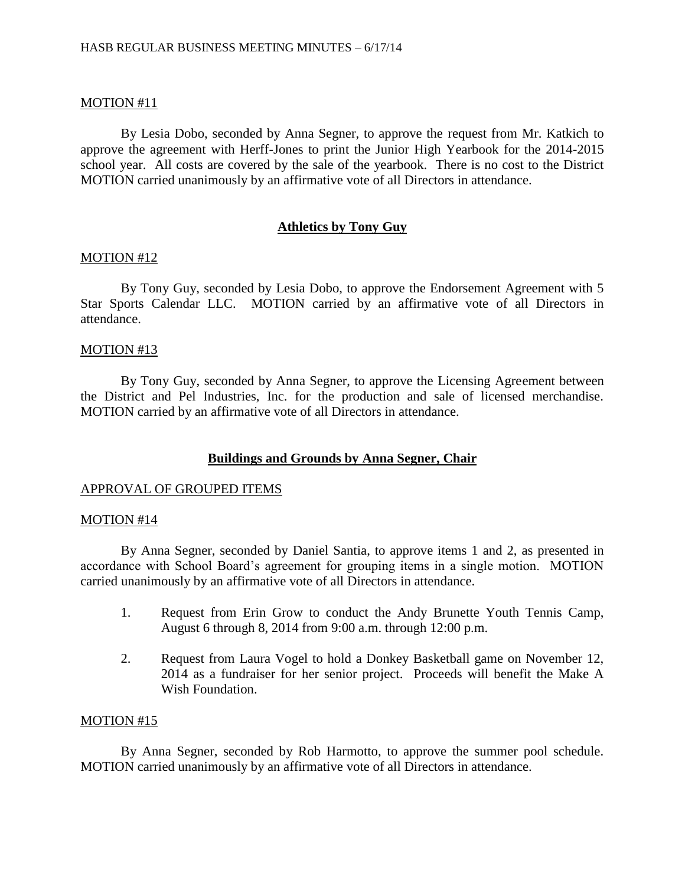## MOTION #11

By Lesia Dobo, seconded by Anna Segner, to approve the request from Mr. Katkich to approve the agreement with Herff-Jones to print the Junior High Yearbook for the 2014-2015 school year. All costs are covered by the sale of the yearbook. There is no cost to the District MOTION carried unanimously by an affirmative vote of all Directors in attendance.

# **Athletics by Tony Guy**

## MOTION #12

By Tony Guy, seconded by Lesia Dobo, to approve the Endorsement Agreement with 5 Star Sports Calendar LLC. MOTION carried by an affirmative vote of all Directors in attendance.

## MOTION #13

By Tony Guy, seconded by Anna Segner, to approve the Licensing Agreement between the District and Pel Industries, Inc. for the production and sale of licensed merchandise. MOTION carried by an affirmative vote of all Directors in attendance.

## **Buildings and Grounds by Anna Segner, Chair**

## APPROVAL OF GROUPED ITEMS

#### MOTION #14

By Anna Segner, seconded by Daniel Santia, to approve items 1 and 2, as presented in accordance with School Board's agreement for grouping items in a single motion. MOTION carried unanimously by an affirmative vote of all Directors in attendance.

- 1. Request from Erin Grow to conduct the Andy Brunette Youth Tennis Camp, August 6 through 8, 2014 from 9:00 a.m. through 12:00 p.m.
- 2. Request from Laura Vogel to hold a Donkey Basketball game on November 12, 2014 as a fundraiser for her senior project. Proceeds will benefit the Make A Wish Foundation.

## MOTION #15

By Anna Segner, seconded by Rob Harmotto, to approve the summer pool schedule. MOTION carried unanimously by an affirmative vote of all Directors in attendance.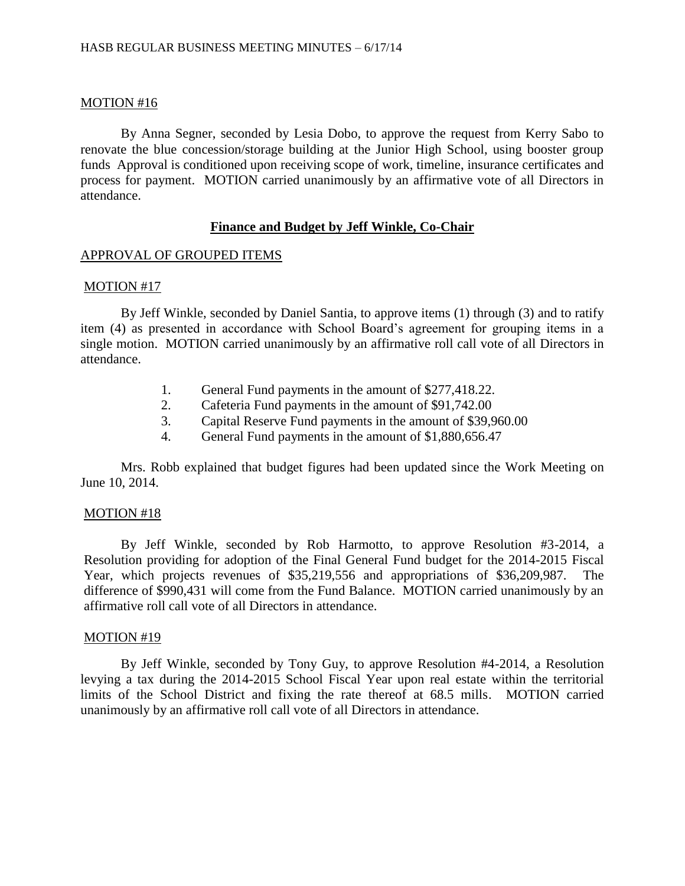## MOTION #16

By Anna Segner, seconded by Lesia Dobo, to approve the request from Kerry Sabo to renovate the blue concession/storage building at the Junior High School, using booster group funds Approval is conditioned upon receiving scope of work, timeline, insurance certificates and process for payment. MOTION carried unanimously by an affirmative vote of all Directors in attendance.

## **Finance and Budget by Jeff Winkle, Co-Chair**

## APPROVAL OF GROUPED ITEMS

## MOTION #17

By Jeff Winkle, seconded by Daniel Santia, to approve items (1) through (3) and to ratify item (4) as presented in accordance with School Board's agreement for grouping items in a single motion. MOTION carried unanimously by an affirmative roll call vote of all Directors in attendance.

- 1. General Fund payments in the amount of \$277,418.22.
- 2. Cafeteria Fund payments in the amount of \$91,742.00
- 3. Capital Reserve Fund payments in the amount of \$39,960.00
- 4. General Fund payments in the amount of \$1,880,656.47

Mrs. Robb explained that budget figures had been updated since the Work Meeting on June 10, 2014.

## MOTION #18

By Jeff Winkle, seconded by Rob Harmotto, to approve Resolution #3-2014, a Resolution providing for adoption of the Final General Fund budget for the 2014-2015 Fiscal Year, which projects revenues of \$35,219,556 and appropriations of \$36,209,987. The difference of \$990,431 will come from the Fund Balance. MOTION carried unanimously by an affirmative roll call vote of all Directors in attendance.

## MOTION #19

By Jeff Winkle, seconded by Tony Guy, to approve Resolution #4-2014, a Resolution levying a tax during the 2014-2015 School Fiscal Year upon real estate within the territorial limits of the School District and fixing the rate thereof at 68.5 mills. MOTION carried unanimously by an affirmative roll call vote of all Directors in attendance.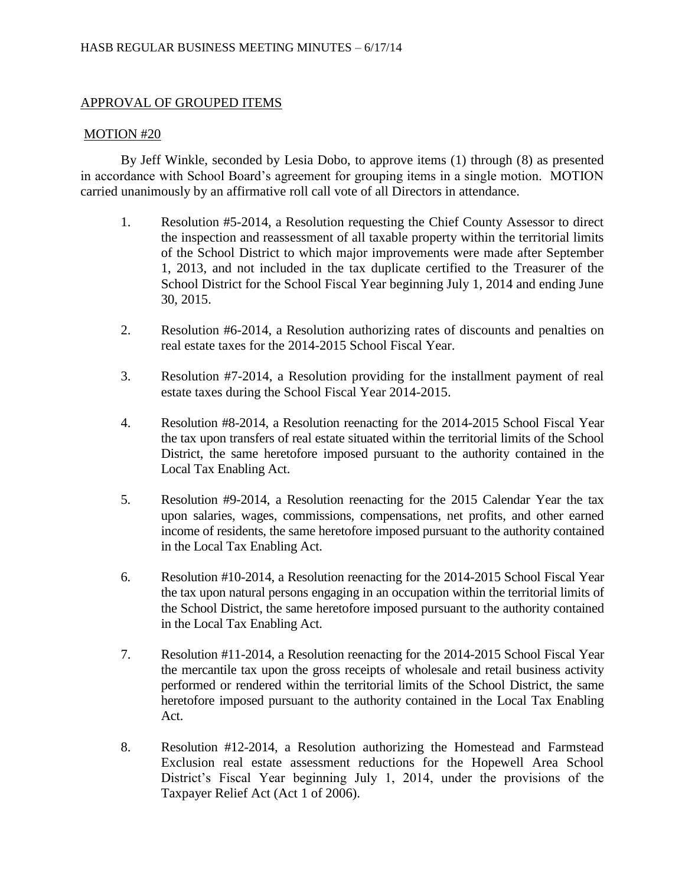# APPROVAL OF GROUPED ITEMS

# MOTION #20

By Jeff Winkle, seconded by Lesia Dobo, to approve items (1) through (8) as presented in accordance with School Board's agreement for grouping items in a single motion. MOTION carried unanimously by an affirmative roll call vote of all Directors in attendance.

- 1. Resolution #5-2014, a Resolution requesting the Chief County Assessor to direct the inspection and reassessment of all taxable property within the territorial limits of the School District to which major improvements were made after September 1, 2013, and not included in the tax duplicate certified to the Treasurer of the School District for the School Fiscal Year beginning July 1, 2014 and ending June 30, 2015.
- 2. Resolution #6-2014, a Resolution authorizing rates of discounts and penalties on real estate taxes for the 2014-2015 School Fiscal Year.
- 3. Resolution #7-2014, a Resolution providing for the installment payment of real estate taxes during the School Fiscal Year 2014-2015.
- 4. Resolution #8-2014, a Resolution reenacting for the 2014-2015 School Fiscal Year the tax upon transfers of real estate situated within the territorial limits of the School District, the same heretofore imposed pursuant to the authority contained in the Local Tax Enabling Act.
- 5. Resolution #9-2014, a Resolution reenacting for the 2015 Calendar Year the tax upon salaries, wages, commissions, compensations, net profits, and other earned income of residents, the same heretofore imposed pursuant to the authority contained in the Local Tax Enabling Act.
- 6. Resolution #10-2014, a Resolution reenacting for the 2014-2015 School Fiscal Year the tax upon natural persons engaging in an occupation within the territorial limits of the School District, the same heretofore imposed pursuant to the authority contained in the Local Tax Enabling Act.
- 7. Resolution #11-2014, a Resolution reenacting for the 2014-2015 School Fiscal Year the mercantile tax upon the gross receipts of wholesale and retail business activity performed or rendered within the territorial limits of the School District, the same heretofore imposed pursuant to the authority contained in the Local Tax Enabling Act.
- 8. Resolution #12-2014, a Resolution authorizing the Homestead and Farmstead Exclusion real estate assessment reductions for the Hopewell Area School District's Fiscal Year beginning July 1, 2014, under the provisions of the Taxpayer Relief Act (Act 1 of 2006).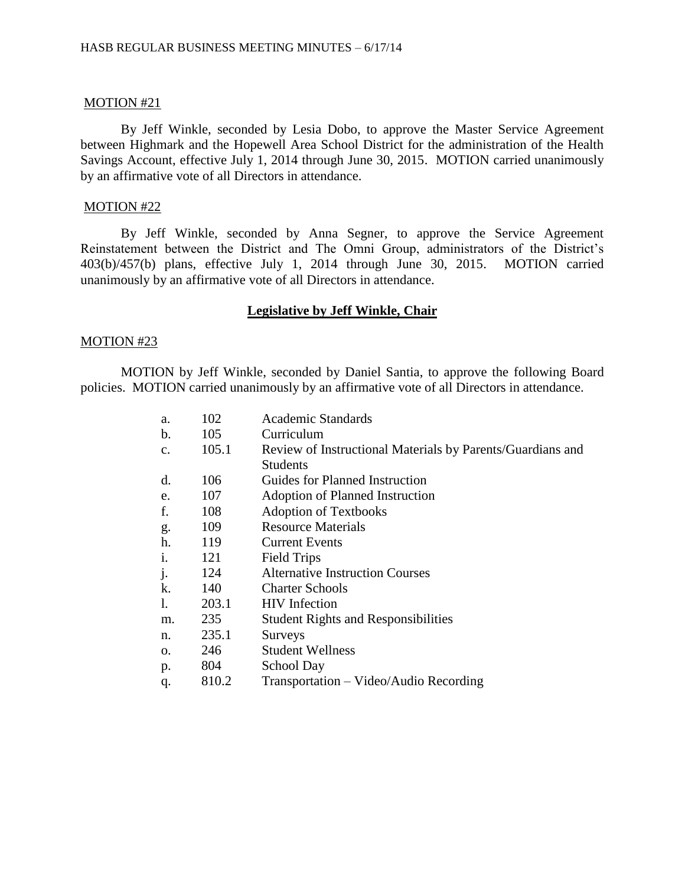## MOTION #21

By Jeff Winkle, seconded by Lesia Dobo, to approve the Master Service Agreement between Highmark and the Hopewell Area School District for the administration of the Health Savings Account, effective July 1, 2014 through June 30, 2015. MOTION carried unanimously by an affirmative vote of all Directors in attendance.

#### MOTION #22

By Jeff Winkle, seconded by Anna Segner, to approve the Service Agreement Reinstatement between the District and The Omni Group, administrators of the District's 403(b)/457(b) plans, effective July 1, 2014 through June 30, 2015. MOTION carried unanimously by an affirmative vote of all Directors in attendance.

#### **Legislative by Jeff Winkle, Chair**

#### MOTION #23

MOTION by Jeff Winkle, seconded by Daniel Santia, to approve the following Board policies. MOTION carried unanimously by an affirmative vote of all Directors in attendance.

| a.            | 102   | Academic Standards                                         |
|---------------|-------|------------------------------------------------------------|
| $\mathbf b$ . | 105   | Curriculum                                                 |
| $C_{\bullet}$ | 105.1 | Review of Instructional Materials by Parents/Guardians and |
|               |       | <b>Students</b>                                            |
| d.            | 106   | Guides for Planned Instruction                             |
| e.            | 107   | Adoption of Planned Instruction                            |
| f.            | 108   | <b>Adoption of Textbooks</b>                               |
| g.            | 109   | <b>Resource Materials</b>                                  |
| h.            | 119   | <b>Current Events</b>                                      |
| i.            | 121   | <b>Field Trips</b>                                         |
| j.            | 124   | <b>Alternative Instruction Courses</b>                     |
| k.            | 140   | <b>Charter Schools</b>                                     |
| 1.            | 203.1 | <b>HIV</b> Infection                                       |
| m.            | 235   | <b>Student Rights and Responsibilities</b>                 |
| n.            | 235.1 | <b>Surveys</b>                                             |
| 0.            | 246   | <b>Student Wellness</b>                                    |
| p.            | 804   | School Day                                                 |
| q.            | 810.2 | Transportation – Video/Audio Recording                     |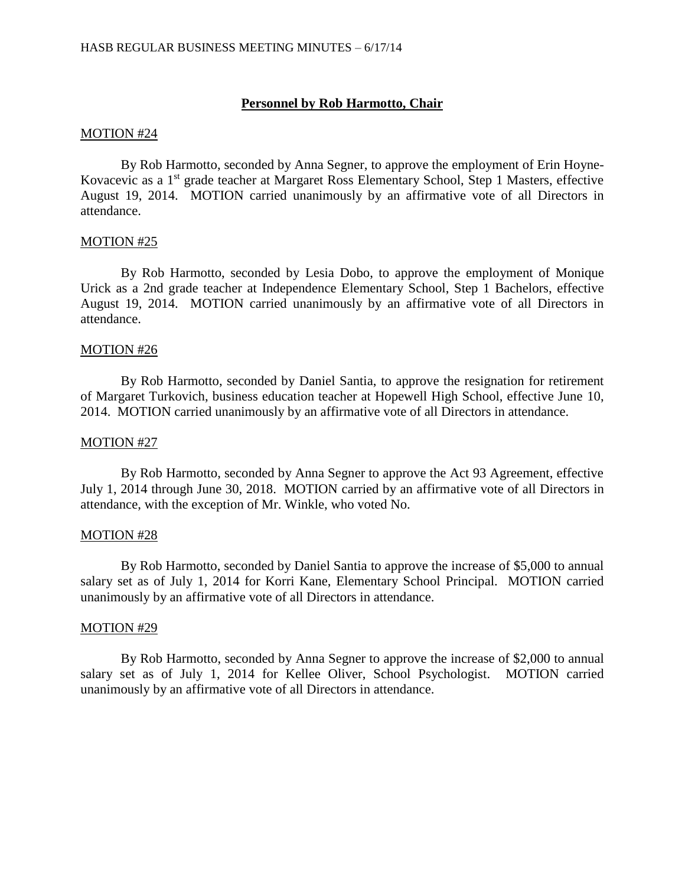# **Personnel by Rob Harmotto, Chair**

#### MOTION #24

By Rob Harmotto, seconded by Anna Segner, to approve the employment of Erin Hoyne-Kovacevic as a 1<sup>st</sup> grade teacher at Margaret Ross Elementary School, Step 1 Masters, effective August 19, 2014. MOTION carried unanimously by an affirmative vote of all Directors in attendance.

## MOTION #25

By Rob Harmotto, seconded by Lesia Dobo, to approve the employment of Monique Urick as a 2nd grade teacher at Independence Elementary School, Step 1 Bachelors, effective August 19, 2014. MOTION carried unanimously by an affirmative vote of all Directors in attendance.

#### MOTION #26

By Rob Harmotto, seconded by Daniel Santia, to approve the resignation for retirement of Margaret Turkovich, business education teacher at Hopewell High School, effective June 10, 2014. MOTION carried unanimously by an affirmative vote of all Directors in attendance.

#### MOTION #27

By Rob Harmotto, seconded by Anna Segner to approve the Act 93 Agreement, effective July 1, 2014 through June 30, 2018. MOTION carried by an affirmative vote of all Directors in attendance, with the exception of Mr. Winkle, who voted No.

#### MOTION #28

By Rob Harmotto, seconded by Daniel Santia to approve the increase of \$5,000 to annual salary set as of July 1, 2014 for Korri Kane, Elementary School Principal. MOTION carried unanimously by an affirmative vote of all Directors in attendance.

## MOTION #29

By Rob Harmotto, seconded by Anna Segner to approve the increase of \$2,000 to annual salary set as of July 1, 2014 for Kellee Oliver, School Psychologist. MOTION carried unanimously by an affirmative vote of all Directors in attendance.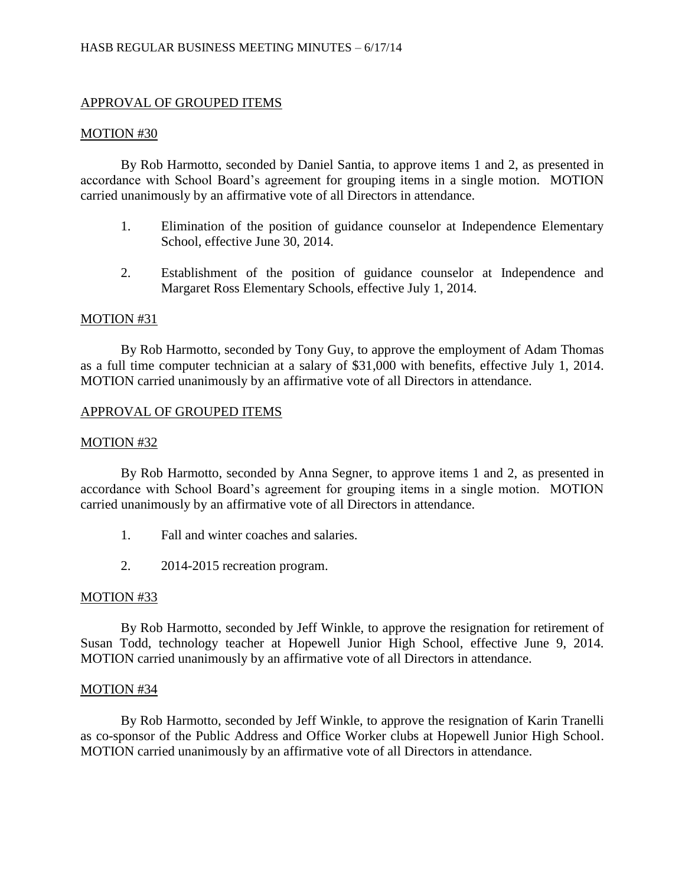# APPROVAL OF GROUPED ITEMS

#### MOTION #30

By Rob Harmotto, seconded by Daniel Santia, to approve items 1 and 2, as presented in accordance with School Board's agreement for grouping items in a single motion. MOTION carried unanimously by an affirmative vote of all Directors in attendance.

- 1. Elimination of the position of guidance counselor at Independence Elementary School, effective June 30, 2014.
- 2. Establishment of the position of guidance counselor at Independence and Margaret Ross Elementary Schools, effective July 1, 2014.

#### MOTION #31

By Rob Harmotto, seconded by Tony Guy, to approve the employment of Adam Thomas as a full time computer technician at a salary of \$31,000 with benefits, effective July 1, 2014. MOTION carried unanimously by an affirmative vote of all Directors in attendance.

## APPROVAL OF GROUPED ITEMS

#### MOTION #32

By Rob Harmotto, seconded by Anna Segner, to approve items 1 and 2, as presented in accordance with School Board's agreement for grouping items in a single motion. MOTION carried unanimously by an affirmative vote of all Directors in attendance.

- 1. Fall and winter coaches and salaries.
- 2. 2014-2015 recreation program.

#### MOTION #33

By Rob Harmotto, seconded by Jeff Winkle, to approve the resignation for retirement of Susan Todd, technology teacher at Hopewell Junior High School, effective June 9, 2014. MOTION carried unanimously by an affirmative vote of all Directors in attendance.

#### MOTION #34

By Rob Harmotto, seconded by Jeff Winkle, to approve the resignation of Karin Tranelli as co-sponsor of the Public Address and Office Worker clubs at Hopewell Junior High School. MOTION carried unanimously by an affirmative vote of all Directors in attendance.